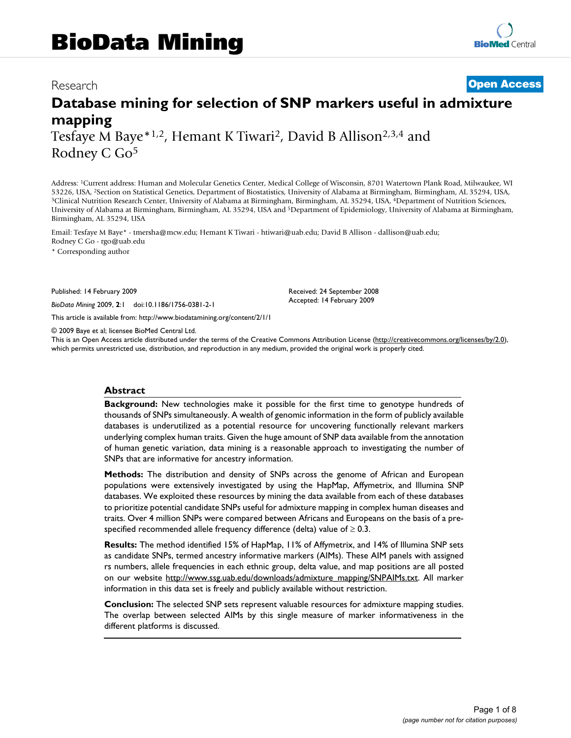# Research **[Open Access](http://www.biomedcentral.com/info/about/charter/)**

# **Database mining for selection of SNP markers useful in admixture mapping** Tesfaye M Baye\*1,2, Hemant K Tiwari2, David B Allison2,3,4 and Rodney C Go5

Address: 1Current address: Human and Molecular Genetics Center, Medical College of Wisconsin, 8701 Watertown Plank Road, Milwaukee, WI 53226, USA, <sup>2</sup>Section on Statistical Genetics, Department of Biostatistics, University of Alabama at Birmingham, Birmingham, AL 35294, USA, <sup>3</sup>Clinical Nutrition Research Center, University of Alabama at Birmingham, Birmi University of Alabama at Birmingham, Birmingham, AL 35294, USA and 5Department of Epidemiology, University of Alabama at Birmingham, Birmingham, AL 35294, USA

Email: Tesfaye M Baye\* - tmersha@mcw.edu; Hemant K Tiwari - htiwari@uab.edu; David B Allison - dallison@uab.edu; Rodney C Go - rgo@uab.edu

\* Corresponding author

Published: 14 February 2009

*BioData Mining* 2009, **2**:1 doi:10.1186/1756-0381-2-1

[This article is available from: http://www.biodatamining.org/content/2/1/1](http://www.biodatamining.org/content/2/1/1)

© 2009 Baye et al; licensee BioMed Central Ltd.

This is an Open Access article distributed under the terms of the Creative Commons Attribution License [\(http://creativecommons.org/licenses/by/2.0\)](http://creativecommons.org/licenses/by/2.0), which permits unrestricted use, distribution, and reproduction in any medium, provided the original work is properly cited.

Received: 24 September 2008 Accepted: 14 February 2009

#### **Abstract**

**Background:** New technologies make it possible for the first time to genotype hundreds of thousands of SNPs simultaneously. A wealth of genomic information in the form of publicly available databases is underutilized as a potential resource for uncovering functionally relevant markers underlying complex human traits. Given the huge amount of SNP data available from the annotation of human genetic variation, data mining is a reasonable approach to investigating the number of SNPs that are informative for ancestry information.

**Methods:** The distribution and density of SNPs across the genome of African and European populations were extensively investigated by using the HapMap, Affymetrix, and Illumina SNP databases. We exploited these resources by mining the data available from each of these databases to prioritize potential candidate SNPs useful for admixture mapping in complex human diseases and traits. Over 4 million SNPs were compared between Africans and Europeans on the basis of a prespecified recommended allele frequency difference (delta) value of  $\geq 0.3$ .

**Results:** The method identified 15% of HapMap, 11% of Affymetrix, and 14% of Illumina SNP sets as candidate SNPs, termed ancestry informative markers (AIMs). These AIM panels with assigned rs numbers, allele frequencies in each ethnic group, delta value, and map positions are all posted on our website [http://www.ssg.uab.edu/downloads/admixture\\_mapping/SNPAIMs.txt](http://www.ssg.uab.edu/downloads/admixture_mapping/SNPAIMs.txt). All marker information in this data set is freely and publicly available without restriction.

**Conclusion:** The selected SNP sets represent valuable resources for admixture mapping studies. The overlap between selected AIMs by this single measure of marker informativeness in the different platforms is discussed.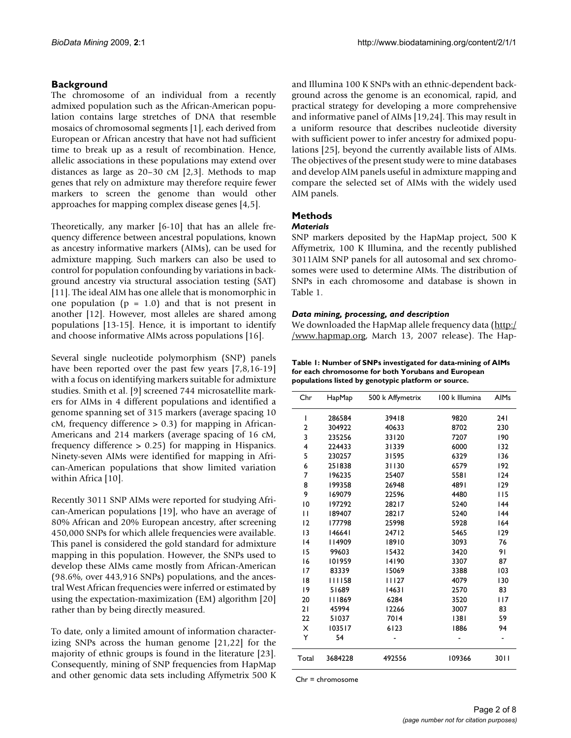# **Background**

The chromosome of an individual from a recently admixed population such as the African-American population contains large stretches of DNA that resemble mosaics of chromosomal segments [1], each derived from European or African ancestry that have not had sufficient time to break up as a result of recombination. Hence, allelic associations in these populations may extend over distances as large as 20–30 cM [2,3]. Methods to map genes that rely on admixture may therefore require fewer markers to screen the genome than would other approaches for mapping complex disease genes [4,5].

Theoretically, any marker [6-10] that has an allele frequency difference between ancestral populations, known as ancestry informative markers (AIMs), can be used for admixture mapping. Such markers can also be used to control for population confounding by variations in background ancestry via structural association testing (SAT) [11]. The ideal AIM has one allele that is monomorphic in one population  $(p = 1.0)$  and that is not present in another [12]. However, most alleles are shared among populations [13-15]. Hence, it is important to identify and choose informative AIMs across populations [16].

Several single nucleotide polymorphism (SNP) panels have been reported over the past few years [7,8,16-19] with a focus on identifying markers suitable for admixture studies. Smith et al. [9] screened 744 microsatellite markers for AIMs in 4 different populations and identified a genome spanning set of 315 markers (average spacing 10  $cM$ , frequency difference  $> 0.3$ ) for mapping in African-Americans and 214 markers (average spacing of 16 cM, frequency difference > 0.25) for mapping in Hispanics. Ninety-seven AIMs were identified for mapping in African-American populations that show limited variation within Africa [10].

Recently 3011 SNP AIMs were reported for studying African-American populations [19], who have an average of 80% African and 20% European ancestry, after screening 450,000 SNPs for which allele frequencies were available. This panel is considered the gold standard for admixture mapping in this population. However, the SNPs used to develop these AIMs came mostly from African-American (98.6%, over 443,916 SNPs) populations, and the ancestral West African frequencies were inferred or estimated by using the expectation-maximization (EM) algorithm [20] rather than by being directly measured.

To date, only a limited amount of information characterizing SNPs across the human genome [21,22] for the majority of ethnic groups is found in the literature [23]. Consequently, mining of SNP frequencies from HapMap and other genomic data sets including Affymetrix 500 K and Illumina 100 K SNPs with an ethnic-dependent background across the genome is an economical, rapid, and practical strategy for developing a more comprehensive and informative panel of AIMs [19,24]. This may result in a uniform resource that describes nucleotide diversity with sufficient power to infer ancestry for admixed populations [25], beyond the currently available lists of AIMs. The objectives of the present study were to mine databases and develop AIM panels useful in admixture mapping and compare the selected set of AIMs with the widely used AIM panels.

# **Methods**

### *Materials*

SNP markers deposited by the HapMap project, 500 K Affymetrix, 100 K Illumina, and the recently published 3011AIM SNP panels for all autosomal and sex chromosomes were used to determine AIMs. The distribution of SNPs in each chromosome and database is shown in Table 1.

#### *Data mining, processing, and description*

We downloaded the HapMap allele frequency data [\(http:/](http://www.hapmap.org) [/www.hapmap.org](http://www.hapmap.org), March 13, 2007 release). The Hap-

**Table 1: Number of SNPs investigated for data-mining of AIMs for each chromosome for both Yorubans and European populations listed by genotypic platform or source.**

| Chr            | HapMap  | 500 k Affymetrix | 100 k Illumina | <b>AIMs</b> |
|----------------|---------|------------------|----------------|-------------|
| ı              | 286584  | 39418            | 9820           | 241         |
| $\overline{2}$ | 304922  | 40633            | 8702           | 230         |
| 3              | 235256  | 33120            | 7207           | 190         |
| 4              | 224433  | 31339            | 6000           | 132         |
| 5              | 230257  | 31595            | 6329           | 136         |
| 6              | 251838  | 31130            | 6579           | 192         |
| 7              | 196235  | 25407            | 5581           | 124         |
| 8              | 199358  | 26948            | 4891           | 129         |
| 9              | 169079  | 22596            | 4480           | 115         |
| 10             | 197292  | 28217            | 5240           | 44          |
| П              | 189407  | 28217            | 5240           | 44          |
| 12             | 177798  | 25998            | 5928           | 164         |
| 13             | 146641  | 24712            | 5465           | 129         |
| 4              | 14909   | 18910            | 3093           | 76          |
| 15             | 99603   | 15432            | 3420           | 91          |
| 16             | 101959  | 14190            | 3307           | 87          |
| 17             | 83339   | 15069            | 3388           | 103         |
| 18             | 111158  | 11127            | 4079           | 130         |
| 19             | 51689   | 14631            | 2570           | 83          |
| 20             | 111869  | 6284             | 3520           | 117         |
| 21             | 45994   | 12266            | 3007           | 83          |
| 22             | 51037   | 7014             | 1381           | 59          |
| X              | 103517  | 6123             | 1886           | 94          |
| Y              | 54      |                  |                |             |
| Total          | 3684228 | 492556           | 109366         | 3011        |

Chr = chromosome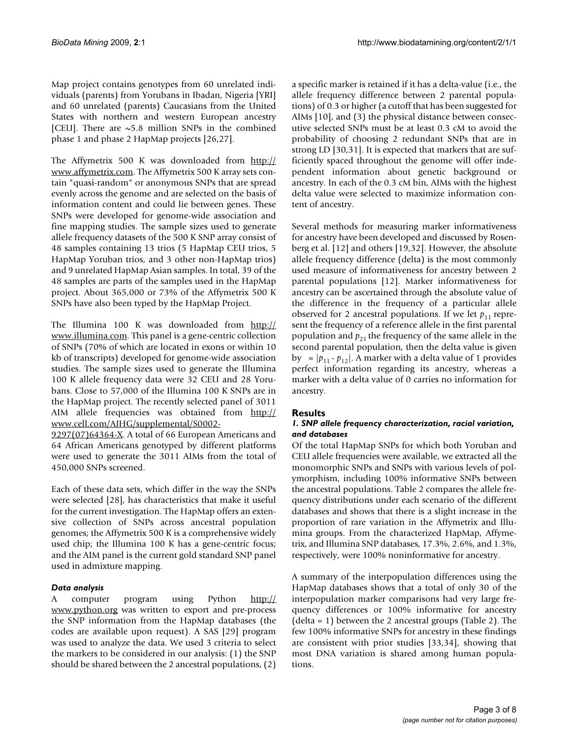Map project contains genotypes from 60 unrelated individuals (parents) from Yorubans in Ibadan, Nigeria [YRI] and 60 unrelated (parents) Caucasians from the United States with northern and western European ancestry [CEU]. There are  $\sim$  5.8 million SNPs in the combined phase 1 and phase 2 HapMap projects [26,27].

The Affymetrix 500 K was downloaded from [http://](http://www.affymetrix.com) [www.affymetrix.com.](http://www.affymetrix.com) The Affymetrix 500 K array sets contain "quasi-random" or anonymous SNPs that are spread evenly across the genome and are selected on the basis of information content and could lie between genes. These SNPs were developed for genome-wide association and fine mapping studies. The sample sizes used to generate allele frequency datasets of the 500 K SNP array consist of 48 samples containing 13 trios (5 HapMap CEU trios, 5 HapMap Yoruban trios, and 3 other non-HapMap trios) and 9 unrelated HapMap Asian samples. In total, 39 of the 48 samples are parts of the samples used in the HapMap project. About 365,000 or 73% of the Affymetrix 500 K SNPs have also been typed by the HapMap Project.

The Illumina 100 K was downloaded from [http://](http://www.illumina.com) [www.illumina.com](http://www.illumina.com). This panel is a gene-centric collection of SNPs (70% of which are located in exons or within 10 kb of transcripts) developed for genome-wide association studies. The sample sizes used to generate the Illumina 100 K allele frequency data were 32 CEU and 28 Yorubans. Close to 57,000 of the Illumina 100 K SNPs are in the HapMap project. The recently selected panel of 3011 AIM allele frequencies was obtained from [http://](http://www.cell.com/AJHG/supplemental/S0002-9297(07)64364-X) [www.cell.com/AJHG/supplemental/S0002-](http://www.cell.com/AJHG/supplemental/S0002-9297(07)64364-X)

[9297\(07\)64364-X.](http://www.cell.com/AJHG/supplemental/S0002-9297(07)64364-X) A total of 66 European Americans and 64 African Americans genotyped by different platforms were used to generate the 3011 AIMs from the total of 450,000 SNPs screened.

Each of these data sets, which differ in the way the SNPs were selected [28], has characteristics that make it useful for the current investigation. The HapMap offers an extensive collection of SNPs across ancestral population genomes; the Affymetrix 500 K is a comprehensive widely used chip; the Illumina 100 K has a gene-centric focus; and the AIM panel is the current gold standard SNP panel used in admixture mapping.

#### *Data analysis*

A computer program using Python [http://](http://www.python.org) [www.python.org](http://www.python.org) was written to export and pre-process the SNP information from the HapMap databases (the codes are available upon request). A SAS [29] program was used to analyze the data. We used 3 criteria to select the markers to be considered in our analysis: (1) the SNP should be shared between the 2 ancestral populations, (2) a specific marker is retained if it has a delta-value (i.e., the allele frequency difference between 2 parental populations) of 0.3 or higher (a cutoff that has been suggested for AIMs [10], and (3) the physical distance between consecutive selected SNPs must be at least 0.3 cM to avoid the probability of choosing 2 redundant SNPs that are in strong LD [30,31]. It is expected that markers that are sufficiently spaced throughout the genome will offer independent information about genetic background or ancestry. In each of the 0.3 cM bin, AIMs with the highest delta value were selected to maximize information content of ancestry.

Several methods for measuring marker informativeness for ancestry have been developed and discussed by Rosenberg et al. [12] and others [19,32]. However, the absolute allele frequency difference (delta) is the most commonly used measure of informativeness for ancestry between 2 parental populations [12]. Marker informativeness for ancestry can be ascertained through the absolute value of the difference in the frequency of a particular allele observed for 2 ancestral populations. If we let  $p_{11}$  represent the frequency of a reference allele in the first parental population and  $p_{21}$  the frequency of the same allele in the second parental population, then the delta value is given by =  $|p_{11} \cdot p_{12}|$ . A marker with a delta value of 1 provides perfect information regarding its ancestry, whereas a marker with a delta value of 0 carries no information for ancestry.

#### **Results**

#### *1. SNP allele frequency characterization, racial variation, and databases*

Of the total HapMap SNPs for which both Yoruban and CEU allele frequencies were available, we extracted all the monomorphic SNPs and SNPs with various levels of polymorphism, including 100% informative SNPs between the ancestral populations. Table 2 compares the allele frequency distributions under each scenario of the different databases and shows that there is a slight increase in the proportion of rare variation in the Affymetrix and Illumina groups. From the characterized HapMap, Affymetrix, and Illumina SNP databases, 17.3%, 2.6%, and 1.3%, respectively, were 100% noninformative for ancestry.

A summary of the interpopulation differences using the HapMap databases shows that a total of only 30 of the interpopulation marker comparisons had very large frequency differences or 100% informative for ancestry (delta = 1) between the 2 ancestral groups (Table 2). The few 100% informative SNPs for ancestry in these findings are consistent with prior studies [33,34], showing that most DNA variation is shared among human populations.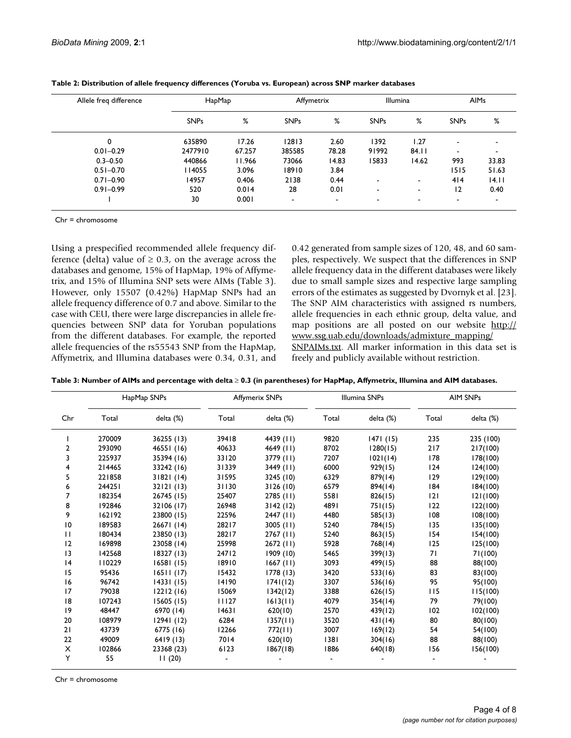| Allele freq difference | HapMap      |        | Affymetrix               |                | <b>Illumina</b>          |       |                          | <b>AIMs</b>    |
|------------------------|-------------|--------|--------------------------|----------------|--------------------------|-------|--------------------------|----------------|
|                        | <b>SNPs</b> | %      | <b>SNPs</b>              | %              | <b>SNPs</b>              | %     | <b>SNPs</b>              | %              |
| $\mathbf 0$            | 635890      | 17.26  | 12813                    | 2.60           | 1392                     | 1.27  | -                        | -              |
| $0.01 - 0.29$          | 2477910     | 67.257 | 385585                   | 78.28          | 91992                    | 84.11 | -                        | $\blacksquare$ |
| $0.3 - 0.50$           | 440866      | 11.966 | 73066                    | 14.83          | 15833                    | 14.62 | 993                      | 33.83          |
| $0.51 - 0.70$          | 114055      | 3.096  | 18910                    | 3.84           |                          |       | 1515                     | 51.63          |
| $0.71 - 0.90$          | 14957       | 0.406  | 2138                     | 0.44           | $\overline{\phantom{a}}$ |       | 414                      | 4.11           |
| $0.91 - 0.99$          | 520         | 0.014  | 28                       | 0.01           | $\blacksquare$           |       | 12                       | 0.40           |
|                        | 30          | 0.001  | $\overline{\phantom{a}}$ | $\blacksquare$ | $\,$                     |       | $\overline{\phantom{a}}$ |                |

| Table 2: Distribution of allele frequency differences (Yoruba vs. European) across SNP marker databases |  |  |
|---------------------------------------------------------------------------------------------------------|--|--|
|---------------------------------------------------------------------------------------------------------|--|--|

Chr = chromosome

Using a prespecified recommended allele frequency difference (delta) value of  $\geq 0.3$ , on the average across the databases and genome, 15% of HapMap, 19% of Affymetrix, and 15% of Illumina SNP sets were AIMs (Table 3). However, only 15507 (0.42%) HapMap SNPs had an allele frequency difference of 0.7 and above. Similar to the case with CEU, there were large discrepancies in allele frequencies between SNP data for Yoruban populations from the different databases. For example, the reported allele frequencies of the rs55543 SNP from the HapMap, Affymetrix, and Illumina databases were 0.34, 0.31, and 0.42 generated from sample sizes of 120, 48, and 60 samples, respectively. We suspect that the differences in SNP allele frequency data in the different databases were likely due to small sample sizes and respective large sampling errors of the estimates as suggested by Dvornyk et al. [23]. The SNP AIM characteristics with assigned rs numbers, allele frequencies in each ethnic group, delta value, and map positions are all posted on our website [http://](http://www.ssg.uab.edu/downloads/admixture_mapping/SNPAIMs.txt) [www.ssg.uab.edu/downloads/admixture\\_mapping/](http://www.ssg.uab.edu/downloads/admixture_mapping/SNPAIMs.txt) [SNPAIMs.txt](http://www.ssg.uab.edu/downloads/admixture_mapping/SNPAIMs.txt). All marker information in this data set is freely and publicly available without restriction.

| Table 3: Number of AIMs and percentage with delta ≥ 0.3 (in parentheses) for HapMap, Affymetrix, Illumina and AIM databases. |  |  |
|------------------------------------------------------------------------------------------------------------------------------|--|--|
|------------------------------------------------------------------------------------------------------------------------------|--|--|

|              |        | HapMap SNPs | Affymerix SNPs |             | Illumina SNPs |           | <b>AIM SNPs</b> |           |
|--------------|--------|-------------|----------------|-------------|---------------|-----------|-----------------|-----------|
| Chr          | Total  | delta (%)   | Total          | delta (%)   | Total         | delta (%) | Total           | delta (%) |
|              | 270009 | 36255 (13)  | 39418          | 4439 (11)   | 9820          | 1471(15)  | 235             | 235 (100) |
| $\mathbf{2}$ | 293090 | 46551 (16)  | 40633          | 4649 (11)   | 8702          | 1280(15)  | 217             | 217(100)  |
| 3            | 225937 | 35394 (16)  | 33120          | 3779 (11)   | 7207          | 1021(14)  | 178             | 178(100)  |
| 4            | 214465 | 33242 (16)  | 31339          | 3449 (11)   | 6000          | 929(15)   | 124             | 124(100)  |
| 5            | 221858 | 31821(14)   | 31595          | 3245 (10)   | 6329          | 879(14)   | 129             | 129(100)  |
| 6            | 244251 | 32121(13)   | 31130          | 3126(10)    | 6579          | 894(14)   | 184             | 184(100)  |
| 7            | 182354 | 26745 (15)  | 25407          | $2785$ (11) | 5581          | 826(15)   | 2               | 121(100)  |
| 8            | 192846 | 32106 (17)  | 26948          | 3142(12)    | 4891          | 751(15)   | 122             | 122(100)  |
| 9            | 162192 | 23800 (15)  | 22596          | $2447$ (11) | 4480          | 585(13)   | 108             | 108(100)  |
| 10           | 189583 | 26671(14)   | 28217          | $3005$ (11) | 5240          | 784(15)   | 135             | 135(100)  |
| $\mathbf{H}$ | 180434 | 23850 (13)  | 28217          | $2767$ (11) | 5240          | 863(15)   | 154             | 154(100)  |
| 12           | 169898 | 23058 (14)  | 25998          | $2672$ (11) | 5928          | 768(14)   | 125             | 125(100)  |
| 13           | 142568 | 18327(13)   | 24712          | 1909(10)    | 5465          | 399(13)   | 71              | 71(100)   |
| 4            | 110229 | 16581(15)   | 18910          | $1667$ (11) | 3093          | 499(15)   | 88              | 88(100)   |
| 15           | 95436  | 16511(17)   | 15432          | 1778(13)    | 3420          | 533(16)   | 83              | 83(100)   |
| 16           | 96742  | 14331(15)   | 14190          | 1741(12)    | 3307          | 536(16)   | 95              | 95(100)   |
| 17           | 79038  | 12212(16)   | 15069          | 1342(12)    | 3388          | 626(15)   | 115             | 115(100)  |
| 18           | 107243 | 15605(15)   | 11127          | 1613(11)    | 4079          | 354(14)   | 79              | 79(100)   |
| 19           | 48447  | 6970 (14)   | 14631          | 620(10)     | 2570          | 439(12)   | 102             | 102(100)  |
| 20           | 108979 | 12941(12)   | 6284           | 1357(11)    | 3520          | 431(14)   | 80              | 80(100)   |
| 21           | 43739  | 6775 (16)   | 12266          | 772(11)     | 3007          | 169(12)   | 54              | 54(100)   |
| 22           | 49009  | 6419(13)    | 7014           | 620(10)     | 1381          | 304(16)   | 88              | 88(100)   |
| X            | 102866 | 23368 (23)  | 6123           | 1867(18)    | 1886          | 640(18)   | 156             | 156(100)  |
| Y            | 55     | 11(20)      |                |             |               |           |                 |           |

Chr = chromosome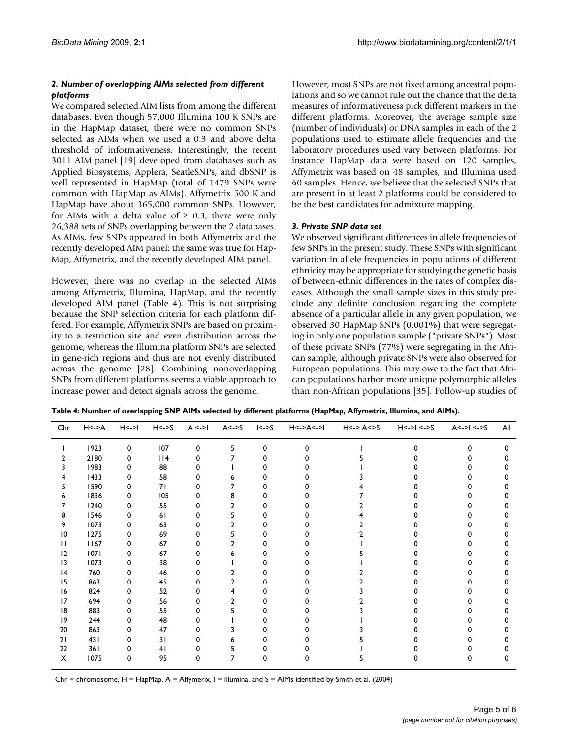#### *2. Number of overlapping AIMs selected from different platforms*

We compared selected AIM lists from among the different databases. Even though 57,000 Illumina 100 K SNPs are in the HapMap dataset, there were no common SNPs selected as AIMs when we used a 0.3 and above delta threshold of informativeness. Interestingly, the recent 3011 AIM panel [19] developed from databases such as Applied Biosystems, Applera, SeatleSNPs, and dbSNP is well represented in HapMap (total of 1479 SNPs were common with HapMap as AIMs). Affymetrix 500 K and HapMap have about 365,000 common SNPs. However, for AIMs with a delta value of  $\geq$  0.3, there were only 26,388 sets of SNPs overlapping between the 2 databases. As AIMs, few SNPs appeared in both Affymetrix and the recently developed AIM panel; the same was true for Hap-Map, Affymetrix, and the recently developed AIM panel.

However, there was no overlap in the selected AIMs among Affymetrix, Illumina, HapMap, and the recently developed AIM panel (Table 4). This is not surprising because the SNP selection criteria for each platform differed. For example, Affymetrix SNPs are based on proximity to a restriction site and even distribution across the genome, whereas the Illumina platform SNPs are selected in gene-rich regions and thus are not evenly distributed across the genome [28]. Combining nonoverlapping SNPs from different platforms seems a viable approach to increase power and detect signals across the genome.

However, most SNPs are not fixed among ancestral populations and so we cannot rule out the chance that the delta measures of informativeness pick different markers in the different platforms. Moreover, the average sample size (number of individuals) or DNA samples in each of the 2 populations used to estimate allele frequencies and the laboratory procedures used vary between platforms. For instance HapMap data were based on 120 samples, Affymetrix was based on 48 samples, and Illumina used 60 samples. Hence, we believe that the selected SNPs that are present in at least 2 platforms could be considered to be the best candidates for admixture mapping.

#### *3. Private SNP data set*

We observed significant differences in allele frequencies of few SNPs in the present study. These SNPs with significant variation in allele frequencies in populations of different ethnicity may be appropriate for studying the genetic basis of between-ethnic differences in the rates of complex diseases. Although the small sample sizes in this study preclude any definite conclusion regarding the complete absence of a particular allele in any given population, we observed 30 HapMap SNPs (0.001%) that were segregating in only one population sample ("private SNPs"). Most of these private SNPs (77%) were segregating in the African sample, although private SNPs were also observed for European populations. This may owe to the fact that African populations harbor more unique polymorphic alleles than non-African populations [35]. Follow-up studies of

| Table 4: Number of overlapping SNP AIMs selected by different platforms (HapMap, Affymetrix, Illumina, and AIMs). |  |  |
|-------------------------------------------------------------------------------------------------------------------|--|--|
|                                                                                                                   |  |  |

| Chr             | H < > A | H< > 1 | $H < -S$ |   | $A \le -1$ $A \le -5$ | $\le$ ->S | H<->A<->I | $H<\gt$ A $<$ S | $H < ->1 < -5$ | $A < ->1 < -5$ | All |
|-----------------|---------|--------|----------|---|-----------------------|-----------|-----------|-----------------|----------------|----------------|-----|
|                 | 1923    | 0      | 107      | 0 | 5                     | 0         | U         |                 | n              | $\Omega$       | o   |
|                 | 2180    | 0      | 114      |   |                       |           |           |                 |                |                |     |
|                 | 1983    | 0      | 88       |   |                       |           |           |                 |                |                |     |
|                 | 1433    | 0      | 58       |   |                       |           |           |                 |                |                |     |
|                 | 1590    | 0      | 71       |   |                       |           |           |                 |                |                |     |
|                 | 1836    | 0      | 105      |   | 8                     |           |           |                 |                |                |     |
|                 | 1240    | 0      | 55       |   | 2                     |           |           |                 |                |                |     |
| 8               | 1546    | 0      | 61       |   |                       |           |           |                 |                |                |     |
| 9               | 1073    | 0      | 63       |   |                       |           |           |                 |                |                |     |
| $\overline{10}$ | 1275    | 0      | 69       |   |                       |           |           |                 |                |                |     |
| Ш               | 1167    | 0      | 67       |   |                       |           |           |                 |                |                |     |
| 12              | 1071    | 0      | 67       |   |                       |           |           |                 |                |                |     |
| 13              | 1073    | o      | 38       |   |                       |           |           |                 |                |                |     |
| 4               | 760     | 0      | 46       |   |                       |           |           |                 |                |                |     |
| 15              | 863     | 0      | 45       |   |                       |           |           |                 |                |                |     |
| 16              | 824     | o      | 52       |   |                       |           |           |                 |                |                |     |
| 17              | 694     | o      | 56       |   |                       |           |           |                 |                |                |     |
| 8               | 883     | 0      | 55       |   |                       |           |           |                 |                |                |     |
| 9               | 244     | 0      | 48       |   |                       |           |           |                 |                |                |     |
| 20              | 863     | o      | 47       |   |                       |           |           |                 |                |                |     |
| 21              | 431     | O      | 31       |   |                       |           |           |                 |                |                |     |
| 22              | 361     | o      | 41       |   |                       |           |           |                 |                |                |     |
| X               | 1075    | 0      | 95       | n |                       |           |           |                 |                | o              |     |

Chr = chromosome, H = HapMap, A = Affymerix, I = Illumina, and S = AIMs identified by Smith et al. (2004)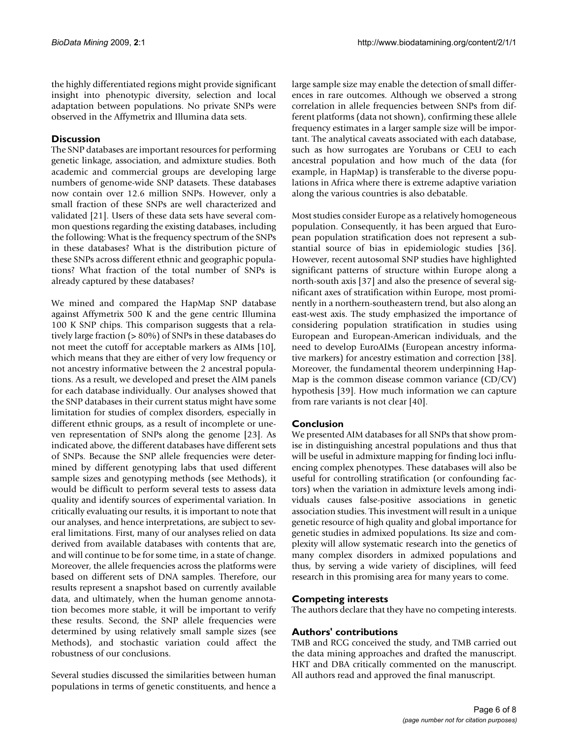the highly differentiated regions might provide significant insight into phenotypic diversity, selection and local adaptation between populations. No private SNPs were observed in the Affymetrix and Illumina data sets.

## **Discussion**

The SNP databases are important resources for performing genetic linkage, association, and admixture studies. Both academic and commercial groups are developing large numbers of genome-wide SNP datasets. These databases now contain over 12.6 million SNPs. However, only a small fraction of these SNPs are well characterized and validated [21]. Users of these data sets have several common questions regarding the existing databases, including the following: What is the frequency spectrum of the SNPs in these databases? What is the distribution picture of these SNPs across different ethnic and geographic populations? What fraction of the total number of SNPs is already captured by these databases?

We mined and compared the HapMap SNP database against Affymetrix 500 K and the gene centric Illumina 100 K SNP chips. This comparison suggests that a relatively large fraction (> 80%) of SNPs in these databases do not meet the cutoff for acceptable markers as AIMs [10], which means that they are either of very low frequency or not ancestry informative between the 2 ancestral populations. As a result, we developed and preset the AIM panels for each database individually. Our analyses showed that the SNP databases in their current status might have some limitation for studies of complex disorders, especially in different ethnic groups, as a result of incomplete or uneven representation of SNPs along the genome [23]. As indicated above, the different databases have different sets of SNPs. Because the SNP allele frequencies were determined by different genotyping labs that used different sample sizes and genotyping methods (see Methods), it would be difficult to perform several tests to assess data quality and identify sources of experimental variation. In critically evaluating our results, it is important to note that our analyses, and hence interpretations, are subject to several limitations. First, many of our analyses relied on data derived from available databases with contents that are, and will continue to be for some time, in a state of change. Moreover, the allele frequencies across the platforms were based on different sets of DNA samples. Therefore, our results represent a snapshot based on currently available data, and ultimately, when the human genome annotation becomes more stable, it will be important to verify these results. Second, the SNP allele frequencies were determined by using relatively small sample sizes (see Methods), and stochastic variation could affect the robustness of our conclusions.

Several studies discussed the similarities between human populations in terms of genetic constituents, and hence a large sample size may enable the detection of small differences in rare outcomes. Although we observed a strong correlation in allele frequencies between SNPs from different platforms (data not shown), confirming these allele frequency estimates in a larger sample size will be important. The analytical caveats associated with each database, such as how surrogates are Yorubans or CEU to each ancestral population and how much of the data (for example, in HapMap) is transferable to the diverse populations in Africa where there is extreme adaptive variation along the various countries is also debatable.

Most studies consider Europe as a relatively homogeneous population. Consequently, it has been argued that European population stratification does not represent a substantial source of bias in epidemiologic studies [36]. However, recent autosomal SNP studies have highlighted significant patterns of structure within Europe along a north-south axis [37] and also the presence of several significant axes of stratification within Europe, most prominently in a northern-southeastern trend, but also along an east-west axis. The study emphasized the importance of considering population stratification in studies using European and European-American individuals, and the need to develop EuroAIMs (European ancestry informative markers) for ancestry estimation and correction [38]. Moreover, the fundamental theorem underpinning Hap-Map is the common disease common variance (CD/CV) hypothesis [39]. How much information we can capture from rare variants is not clear [40].

# **Conclusion**

We presented AIM databases for all SNPs that show promise in distinguishing ancestral populations and thus that will be useful in admixture mapping for finding loci influencing complex phenotypes. These databases will also be useful for controlling stratification (or confounding factors) when the variation in admixture levels among individuals causes false-positive associations in genetic association studies. This investment will result in a unique genetic resource of high quality and global importance for genetic studies in admixed populations. Its size and complexity will allow systematic research into the genetics of many complex disorders in admixed populations and thus, by serving a wide variety of disciplines, will feed research in this promising area for many years to come.

#### **Competing interests**

The authors declare that they have no competing interests.

#### **Authors' contributions**

TMB and RCG conceived the study, and TMB carried out the data mining approaches and drafted the manuscript. HKT and DBA critically commented on the manuscript. All authors read and approved the final manuscript.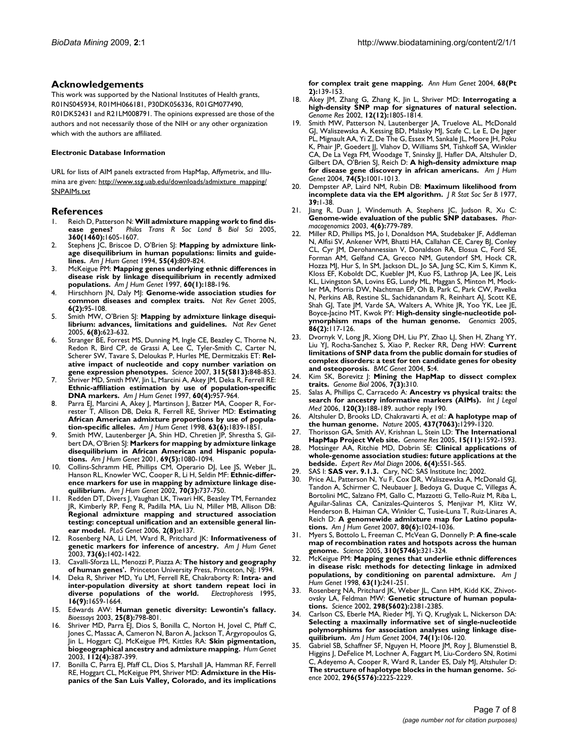#### **Acknowledgements**

This work was supported by the National Institutes of Health grants, R01NS045934, R01MH066181, P30DK056336, R01GM077490, R01DK52431 and R21LM008791. The opinions expressed are those of the authors and not necessarily those of the NIH or any other organization which with the authors are affiliated.

#### **Electronic Database Information**

URL for lists of AIM panels extracted from HapMap, Affymetrix, and Illumina are given: [http://www.ssg.uab.edu/downloads/admixture\\_mapping/](http://www.ssg.uab.edu/downloads/admixture_mapping/SNPAIMs.txt) [SNPAIMs.txt](http://www.ssg.uab.edu/downloads/admixture_mapping/SNPAIMs.txt)

#### **References**

- 1. Reich D, Patterson N: **[Will admixture mapping work to find dis](http://www.ncbi.nlm.nih.gov/entrez/query.fcgi?cmd=Retrieve&db=PubMed&dopt=Abstract&list_uids=16096110)[ease genes?](http://www.ncbi.nlm.nih.gov/entrez/query.fcgi?cmd=Retrieve&db=PubMed&dopt=Abstract&list_uids=16096110)** *Philos Trans R Soc Lond B Biol Sci* 2005, **360(1460):**1605-1607.
- 2. Stephens JC, Briscoe D, O'Brien SJ: **[Mapping by admixture link](http://www.ncbi.nlm.nih.gov/entrez/query.fcgi?cmd=Retrieve&db=PubMed&dopt=Abstract&list_uids=7942858)[age disequilibrium in human populations: limits and guide](http://www.ncbi.nlm.nih.gov/entrez/query.fcgi?cmd=Retrieve&db=PubMed&dopt=Abstract&list_uids=7942858)[lines.](http://www.ncbi.nlm.nih.gov/entrez/query.fcgi?cmd=Retrieve&db=PubMed&dopt=Abstract&list_uids=7942858)** *Am J Hum Genet* 1994, **55(4):**809-824.
- 3. McKeigue PM: **[Mapping genes underlying ethnic differences in](http://www.ncbi.nlm.nih.gov/entrez/query.fcgi?cmd=Retrieve&db=PubMed&dopt=Abstract&list_uids=8981962) [disease risk by linkage disequilibrium in recently admixed](http://www.ncbi.nlm.nih.gov/entrez/query.fcgi?cmd=Retrieve&db=PubMed&dopt=Abstract&list_uids=8981962) [populations.](http://www.ncbi.nlm.nih.gov/entrez/query.fcgi?cmd=Retrieve&db=PubMed&dopt=Abstract&list_uids=8981962)** *Am J Hum Genet* 1997, **60(1):**188-196.
- 4. Hirschhorn JN, Daly MJ: **[Genome-wide association studies for](http://www.ncbi.nlm.nih.gov/entrez/query.fcgi?cmd=Retrieve&db=PubMed&dopt=Abstract&list_uids=15716906) [common diseases and complex traits.](http://www.ncbi.nlm.nih.gov/entrez/query.fcgi?cmd=Retrieve&db=PubMed&dopt=Abstract&list_uids=15716906)** *Nat Rev Genet* 2005, **6(2):**95-108.
- 5. Smith MW, O'Brien SJ: **[Mapping by admixture linkage disequi](http://www.ncbi.nlm.nih.gov/entrez/query.fcgi?cmd=Retrieve&db=PubMed&dopt=Abstract&list_uids=16012528)[librium: advances, limitations and guidelines.](http://www.ncbi.nlm.nih.gov/entrez/query.fcgi?cmd=Retrieve&db=PubMed&dopt=Abstract&list_uids=16012528)** *Nat Rev Genet* 2005, **6(8):**623-632.
- 6. Stranger BE, Forrest MS, Dunning M, Ingle CE, Beazley C, Thorne N, Redon R, Bird CP, de Grassi A, Lee C, Tyler-Smith C, Carter N, Scherer SW, Tavare S, Deloukas P, Hurles ME, Dermitzakis ET: **[Rel](http://www.ncbi.nlm.nih.gov/entrez/query.fcgi?cmd=Retrieve&db=PubMed&dopt=Abstract&list_uids=17289997)[ative impact of nucleotide and copy number variation on](http://www.ncbi.nlm.nih.gov/entrez/query.fcgi?cmd=Retrieve&db=PubMed&dopt=Abstract&list_uids=17289997) [gene expression phenotypes.](http://www.ncbi.nlm.nih.gov/entrez/query.fcgi?cmd=Retrieve&db=PubMed&dopt=Abstract&list_uids=17289997)** *Science* 2007, **315(5813):**848-853.
- 7. Shriver MD, Smith MW, Jin L, Marcini A, Akey JM, Deka R, Ferrell RE: **[Ethnic-affiliation estimation by use of population-specific](http://www.ncbi.nlm.nih.gov/entrez/query.fcgi?cmd=Retrieve&db=PubMed&dopt=Abstract&list_uids=9106543) [DNA markers.](http://www.ncbi.nlm.nih.gov/entrez/query.fcgi?cmd=Retrieve&db=PubMed&dopt=Abstract&list_uids=9106543)** *Am J Hum Genet* 1997, **60(4):**957-964.
- 8. Parra EJ, Marcini A, Akey J, Martinson J, Batzer MA, Cooper R, Forrester T, Allison DB, Deka R, Ferrell RE, Shriver MD: **[Estimating](http://www.ncbi.nlm.nih.gov/entrez/query.fcgi?cmd=Retrieve&db=PubMed&dopt=Abstract&list_uids=9837836) [African American admixture proportions by use of popula](http://www.ncbi.nlm.nih.gov/entrez/query.fcgi?cmd=Retrieve&db=PubMed&dopt=Abstract&list_uids=9837836)[tion-specific alleles.](http://www.ncbi.nlm.nih.gov/entrez/query.fcgi?cmd=Retrieve&db=PubMed&dopt=Abstract&list_uids=9837836)** *Am J Hum Genet* 1998, **63(6):**1839-1851.
- Smith MW, Lautenberger JA, Shin HD, Chretien JP, Shrestha S, Gilbert DA, O'Brien SJ: **[Markers for mapping by admixture linkage](http://www.ncbi.nlm.nih.gov/entrez/query.fcgi?cmd=Retrieve&db=PubMed&dopt=Abstract&list_uids=11590548) [disequilibrium in African American and Hispanic popula](http://www.ncbi.nlm.nih.gov/entrez/query.fcgi?cmd=Retrieve&db=PubMed&dopt=Abstract&list_uids=11590548)[tions.](http://www.ncbi.nlm.nih.gov/entrez/query.fcgi?cmd=Retrieve&db=PubMed&dopt=Abstract&list_uids=11590548)** *Am J Hum Genet* 2001, **69(5):**1080-1094.
- 10. Collins-Schramm HE, Phillips CM, Operario DJ, Lee JS, Weber JL, Hanson RL, Knowler WC, Cooper R, Li H, Seldin MF: **[Ethnic-differ](http://www.ncbi.nlm.nih.gov/entrez/query.fcgi?cmd=Retrieve&db=PubMed&dopt=Abstract&list_uids=11845411)[ence markers for use in mapping by admixture linkage dise](http://www.ncbi.nlm.nih.gov/entrez/query.fcgi?cmd=Retrieve&db=PubMed&dopt=Abstract&list_uids=11845411)[quilibrium.](http://www.ncbi.nlm.nih.gov/entrez/query.fcgi?cmd=Retrieve&db=PubMed&dopt=Abstract&list_uids=11845411)** *Am J Hum Genet* 2002, **70(3):**737-750.
- Redden DT, Divers J, Vaughan LK, Tiwari HK, Beasley TM, Fernandez JR, Kimberly RP, Feng R, Padilla MA, Liu N, Miller MB, Allison DB: **[Regional admixture mapping and structured association](http://www.ncbi.nlm.nih.gov/entrez/query.fcgi?cmd=Retrieve&db=PubMed&dopt=Abstract&list_uids=16934005) testing: conceptual unification and an extensible general lin[ear model.](http://www.ncbi.nlm.nih.gov/entrez/query.fcgi?cmd=Retrieve&db=PubMed&dopt=Abstract&list_uids=16934005)** *PLoS Genet* 2006, **2(8):**e137.
- 12. Rosenberg NA, Li LM, Ward R, Pritchard JK: **[Informativeness of](http://www.ncbi.nlm.nih.gov/entrez/query.fcgi?cmd=Retrieve&db=PubMed&dopt=Abstract&list_uids=14631557) [genetic markers for inference of ancestry.](http://www.ncbi.nlm.nih.gov/entrez/query.fcgi?cmd=Retrieve&db=PubMed&dopt=Abstract&list_uids=14631557)** *Am J Hum Genet* 2003, **73(6):**1402-1422.
- 13. Cavalli-Sforza LL, Menozzi P, Piazza A: **The history and geography of human genes'.** Princeton University Press, Princeton, NJ; 1994.
- 14. Deka R, Shriver MD, Yu LM, Ferrell RE, Chakraborty R: **[Intra- and](http://www.ncbi.nlm.nih.gov/entrez/query.fcgi?cmd=Retrieve&db=PubMed&dopt=Abstract&list_uids=8582352) [inter-population diversity at short tandem repeat loci in](http://www.ncbi.nlm.nih.gov/entrez/query.fcgi?cmd=Retrieve&db=PubMed&dopt=Abstract&list_uids=8582352) [diverse populations of the world.](http://www.ncbi.nlm.nih.gov/entrez/query.fcgi?cmd=Retrieve&db=PubMed&dopt=Abstract&list_uids=8582352)** *Electrophoresis* 1995, **16(9):**1659-1664.
- 15. Edwards AW: **[Human genetic diversity: Lewontin's fallacy.](http://www.ncbi.nlm.nih.gov/entrez/query.fcgi?cmd=Retrieve&db=PubMed&dopt=Abstract&list_uids=12879450)** *Bioessays* 2003, **25(8):**798-801.
- 16. Shriver MD, Parra EJ, Dios S, Bonilla C, Norton H, Jovel C, Pfaff C, Jones C, Massac A, Cameron N, Baron A, Jackson T, Argyropoulos G, Jin L, Hoggart CJ, McKeigue PM, Kittles RA: **[Skin pigmentation,](http://www.ncbi.nlm.nih.gov/entrez/query.fcgi?cmd=Retrieve&db=PubMed&dopt=Abstract&list_uids=12579416) [biogeographical ancestry and admixture mapping.](http://www.ncbi.nlm.nih.gov/entrez/query.fcgi?cmd=Retrieve&db=PubMed&dopt=Abstract&list_uids=12579416)** *Hum Genet* 2003, **112(4):**387-399.
- 17. Bonilla C, Parra EJ, Pfaff CL, Dios S, Marshall JA, Hamman RF, Ferrell RE, Hoggart CL, McKeigue PM, Shriver MD: **[Admixture in the His](http://www.ncbi.nlm.nih.gov/entrez/query.fcgi?cmd=Retrieve&db=PubMed&dopt=Abstract&list_uids=15008793)[panics of the San Luis Valley, Colorado, and its implications](http://www.ncbi.nlm.nih.gov/entrez/query.fcgi?cmd=Retrieve&db=PubMed&dopt=Abstract&list_uids=15008793)**

**[for complex trait gene mapping.](http://www.ncbi.nlm.nih.gov/entrez/query.fcgi?cmd=Retrieve&db=PubMed&dopt=Abstract&list_uids=15008793)** *Ann Hum Genet* 2004, **68(Pt 2):**139-153.

- 18. Akey JM, Zhang G, Zhang K, Jin L, Shriver MD: **[Interrogating a](http://www.ncbi.nlm.nih.gov/entrez/query.fcgi?cmd=Retrieve&db=PubMed&dopt=Abstract&list_uids=12466284) [high-density SNP map for signatures of natural selection.](http://www.ncbi.nlm.nih.gov/entrez/query.fcgi?cmd=Retrieve&db=PubMed&dopt=Abstract&list_uids=12466284)** *Genome Res* 2002, **12(12):**1805-1814.
- 19. Smith MW, Patterson N, Lautenberger JA, Truelove AL, McDonald GJ, Waliszewska A, Kessing BD, Malasky MJ, Scafe C, Le E, De Jager PL, Mignault AA, Yi Z, De The G, Essex M, Sankale JL, Moore JH, Poku K, Phair JP, Goedert JJ, Vlahov D, Williams SM, Tishkoff SA, Winkler CA, De La Vega FM, Woodage T, Sninsky JJ, Hafler DA, Altshuler D, Gilbert DA, O'Brien SJ, Reich D: **[A high-density admixture map](http://www.ncbi.nlm.nih.gov/entrez/query.fcgi?cmd=Retrieve&db=PubMed&dopt=Abstract&list_uids=15088270) [for disease gene discovery in african americans.](http://www.ncbi.nlm.nih.gov/entrez/query.fcgi?cmd=Retrieve&db=PubMed&dopt=Abstract&list_uids=15088270)** *Am J Hum Genet* 2004, **74(5):**1001-1013.
- 20. Dempster AP, Laird NM, Rubin DB: **Maximum likelihood from incomplete data via the EM algorithm.** *J R Stat Soc Ser B* 1977, **39:**1-38.
- 21. Jiang R, Duan J, Windemuth A, Stephens JC, Judson R, Xu C: **[Genome-wide evaluation of the public SNP databases.](http://www.ncbi.nlm.nih.gov/entrez/query.fcgi?cmd=Retrieve&db=PubMed&dopt=Abstract&list_uids=14596641)** *Pharmacogenomics* 2003, **4(6):**779-789.
- 22. Miller RD, Phillips MS, Jo I, Donaldson MA, Studebaker JF, Addleman N, Alfisi SV, Ankener WM, Bhatti HA, Callahan CE, Carey BJ, Conley CL, Cyr JM, Derohannessian V, Donaldson RA, Elosua C, Ford SE, Forman AM, Gelfand CA, Grecco NM, Gutendorf SM, Hock CR, Hozza MJ, Hur S, In SM, Jackson DL, Jo SA, Jung SC, Kim S, Kimm K, Kloss EF, Koboldt DC, Kuebler JM, Kuo FS, Lathrop JA, Lee JK, Leis KL, Livingston SA, Lovins EG, Lundy ML, Maggan S, Minton M, Mockler MA, Morris DW, Nachtman EP, Oh B, Park C, Park CW, Pavelka N, Perkins AB, Restine SL, Sachidanandam R, Reinhart AJ, Scott KE, Shah GJ, Tate JM, Varde SA, Walters A, White JR, Yoo YK, Lee JE, Boyce-Jacino MT, Kwok PY: **[High-density single-nucleotide pol](http://www.ncbi.nlm.nih.gov/entrez/query.fcgi?cmd=Retrieve&db=PubMed&dopt=Abstract&list_uids=15961272)[ymorphism maps of the human genome.](http://www.ncbi.nlm.nih.gov/entrez/query.fcgi?cmd=Retrieve&db=PubMed&dopt=Abstract&list_uids=15961272)** *Genomics* 2005, **86(2):**117-126.
- 23. Dvornyk V, Long JR, Xiong DH, Liu PY, Zhao LJ, Shen H, Zhang YY, Liu YJ, Rocha-Sanchez S, Xiao P, Recker RR, Deng HW: **[Current](http://www.ncbi.nlm.nih.gov/entrez/query.fcgi?cmd=Retrieve&db=PubMed&dopt=Abstract&list_uids=15113403) [limitations of SNP data from the public domain for studies of](http://www.ncbi.nlm.nih.gov/entrez/query.fcgi?cmd=Retrieve&db=PubMed&dopt=Abstract&list_uids=15113403) complex disorders: a test for ten candidate genes for obesity [and osteoporosis.](http://www.ncbi.nlm.nih.gov/entrez/query.fcgi?cmd=Retrieve&db=PubMed&dopt=Abstract&list_uids=15113403)** *BMC Genet* 2004, **5:**4.
- 24. Kim SK, Borevitz J: **[Mining the HapMap to dissect complex](http://www.ncbi.nlm.nih.gov/entrez/query.fcgi?cmd=Retrieve&db=PubMed&dopt=Abstract&list_uids=16569264) [traits.](http://www.ncbi.nlm.nih.gov/entrez/query.fcgi?cmd=Retrieve&db=PubMed&dopt=Abstract&list_uids=16569264)** *Genome Biol* 2006, **7(3):**310.
- 25. Salas A, Phillips C, Carracedo A: **[Ancestry vs physical traits: the](http://www.ncbi.nlm.nih.gov/entrez/query.fcgi?cmd=Retrieve&db=PubMed&dopt=Abstract&list_uids=16133562) [search for ancestry informative markers \(AIMs\).](http://www.ncbi.nlm.nih.gov/entrez/query.fcgi?cmd=Retrieve&db=PubMed&dopt=Abstract&list_uids=16133562)** *Int J Legal Med* 2006, **120(3):**188-189. author reply 190.
- 26. Altshuler D, Brooks LD, Chakravarti A, *et al.*: **[A haplotype map of](http://www.ncbi.nlm.nih.gov/entrez/query.fcgi?cmd=Retrieve&db=PubMed&dopt=Abstract&list_uids=16255080) [the human genome.](http://www.ncbi.nlm.nih.gov/entrez/query.fcgi?cmd=Retrieve&db=PubMed&dopt=Abstract&list_uids=16255080)** *Nature* 2005, **437(7063):**1299-1320.
- 27. Thorisson GA, Smith AV, Krishnan L, Stein LD: **[The International](http://www.ncbi.nlm.nih.gov/entrez/query.fcgi?cmd=Retrieve&db=PubMed&dopt=Abstract&list_uids=16251469) [HapMap Project Web site.](http://www.ncbi.nlm.nih.gov/entrez/query.fcgi?cmd=Retrieve&db=PubMed&dopt=Abstract&list_uids=16251469)** *Genome Res* 2005, **15(11):**1592-1593.
- 28. Motsinger AA, Ritchie MD, Dobrin SE: **[Clinical applications of](http://www.ncbi.nlm.nih.gov/entrez/query.fcgi?cmd=Retrieve&db=PubMed&dopt=Abstract&list_uids=16824029) [whole-genome association studies: future applications at the](http://www.ncbi.nlm.nih.gov/entrez/query.fcgi?cmd=Retrieve&db=PubMed&dopt=Abstract&list_uids=16824029) [bedside.](http://www.ncbi.nlm.nih.gov/entrez/query.fcgi?cmd=Retrieve&db=PubMed&dopt=Abstract&list_uids=16824029)** *Expert Rev Mol Diagn* 2006, **6(4):**551-565.
- 29. SAS I: **SAS ver. 9.1.3.** Cary, NC: SAS Institute Inc; 2002.
- 30. Price AL, Patterson N, Yu F, Cox DR, Waliszewska A, McDonald GJ, Tandon A, Schirmer C, Neubauer J, Bedoya G, Duque C, Villegas A, Bortolini MC, Salzano FM, Gallo C, Mazzotti G, Tello-Ruiz M, Riba L, Aguilar-Salinas CA, Canizales-Quinteros S, Menjivar M, Klitz W, Henderson B, Haiman CA, Winkler C, Tusie-Luna T, Ruiz-Linares A, Reich D: **[A genomewide admixture map for Latino popula](http://www.ncbi.nlm.nih.gov/entrez/query.fcgi?cmd=Retrieve&db=PubMed&dopt=Abstract&list_uids=17503322)[tions.](http://www.ncbi.nlm.nih.gov/entrez/query.fcgi?cmd=Retrieve&db=PubMed&dopt=Abstract&list_uids=17503322)** *Am J Hum Genet* 2007, **80(6):**1024-1036.
- 31. Myers S, Bottolo L, Freeman C, McVean G, Donnelly P: **[A fine-scale](http://www.ncbi.nlm.nih.gov/entrez/query.fcgi?cmd=Retrieve&db=PubMed&dopt=Abstract&list_uids=16224025) [map of recombination rates and hotspots across the human](http://www.ncbi.nlm.nih.gov/entrez/query.fcgi?cmd=Retrieve&db=PubMed&dopt=Abstract&list_uids=16224025) [genome.](http://www.ncbi.nlm.nih.gov/entrez/query.fcgi?cmd=Retrieve&db=PubMed&dopt=Abstract&list_uids=16224025)** *Science* 2005, **310(5746):**321-324.
- 32. McKeigue PM: **[Mapping genes that underlie ethnic differences](http://www.ncbi.nlm.nih.gov/entrez/query.fcgi?cmd=Retrieve&db=PubMed&dopt=Abstract&list_uids=9634509) [in disease risk: methods for detecting linkage in admixed](http://www.ncbi.nlm.nih.gov/entrez/query.fcgi?cmd=Retrieve&db=PubMed&dopt=Abstract&list_uids=9634509) [populations, by conditioning on parental admixture.](http://www.ncbi.nlm.nih.gov/entrez/query.fcgi?cmd=Retrieve&db=PubMed&dopt=Abstract&list_uids=9634509)** *Am J Hum Genet* 1998, **63(1):**241-251.
- 33. Rosenberg NA, Pritchard JK, Weber JL, Cann HM, Kidd KK, Zhivotovsky LA, Feldman MW: **[Genetic structure of human popula](http://www.ncbi.nlm.nih.gov/entrez/query.fcgi?cmd=Retrieve&db=PubMed&dopt=Abstract&list_uids=12493913)[tions.](http://www.ncbi.nlm.nih.gov/entrez/query.fcgi?cmd=Retrieve&db=PubMed&dopt=Abstract&list_uids=12493913)** *Science* 2002, **298(5602):**2381-2385.
- Carlson CS, Eberle MA, Rieder MJ, Yi Q, Kruglyak L, Nickerson DA: **[Selecting a maximally informative set of single-nucleotide](http://www.ncbi.nlm.nih.gov/entrez/query.fcgi?cmd=Retrieve&db=PubMed&dopt=Abstract&list_uids=14681826) polymorphisms for association analyses using linkage dise[quilibrium.](http://www.ncbi.nlm.nih.gov/entrez/query.fcgi?cmd=Retrieve&db=PubMed&dopt=Abstract&list_uids=14681826)** *Am J Hum Genet* 2004, **74(1):**106-120.
- Gabriel SB, Schaffner SF, Nguyen H, Moore JM, Roy J, Blumenstiel B, Higgins J, DeFelice M, Lochner A, Faggart M, Liu-Cordero SN, Rotimi C, Adeyemo A, Cooper R, Ward R, Lander ES, Daly MJ, Altshuler D: **[The structure of haplotype blocks in the human genome.](http://www.ncbi.nlm.nih.gov/entrez/query.fcgi?cmd=Retrieve&db=PubMed&dopt=Abstract&list_uids=12029063)** *Science* 2002, **296(5576):**2225-2229.